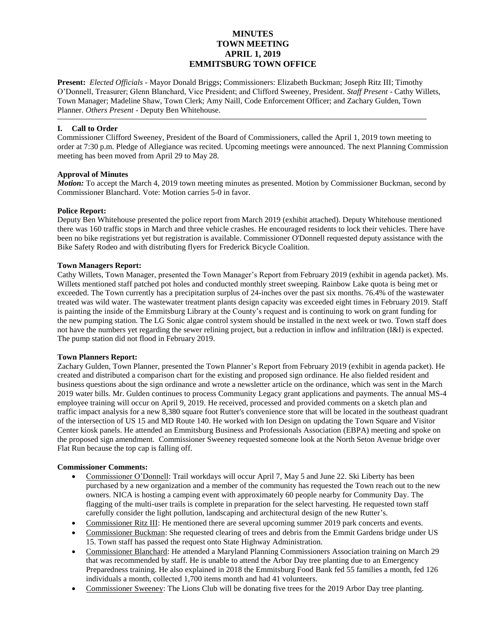# **MINUTES TOWN MEETING APRIL 1, 2019 EMMITSBURG TOWN OFFICE**

**Present:** *Elected Officials* - Mayor Donald Briggs; Commissioners: Elizabeth Buckman; Joseph Ritz III; Timothy O'Donnell, Treasurer; Glenn Blanchard, Vice President; and Clifford Sweeney, President. *Staff Present* - Cathy Willets, Town Manager; Madeline Shaw, Town Clerk; Amy Naill, Code Enforcement Officer; and Zachary Gulden, Town Planner. *Others Present* - Deputy Ben Whitehouse.

#### **I. Call to Order**

Commissioner Clifford Sweeney, President of the Board of Commissioners, called the April 1, 2019 town meeting to order at 7:30 p.m. Pledge of Allegiance was recited. Upcoming meetings were announced. The next Planning Commission meeting has been moved from April 29 to May 28.

# **Approval of Minutes**

*Motion:* To accept the March 4, 2019 town meeting minutes as presented. Motion by Commissioner Buckman, second by Commissioner Blanchard. Vote: Motion carries 5-0 in favor.

# **Police Report:**

Deputy Ben Whitehouse presented the police report from March 2019 (exhibit attached). Deputy Whitehouse mentioned there was 160 traffic stops in March and three vehicle crashes. He encouraged residents to lock their vehicles. There have been no bike registrations yet but registration is available. Commissioner O'Donnell requested deputy assistance with the Bike Safety Rodeo and with distributing flyers for Frederick Bicycle Coalition.

# **Town Managers Report:**

Cathy Willets, Town Manager, presented the Town Manager's Report from February 2019 (exhibit in agenda packet). Ms. Willets mentioned staff patched pot holes and conducted monthly street sweeping. Rainbow Lake quota is being met or exceeded. The Town currently has a precipitation surplus of 24-inches over the past six months. 76.4% of the wastewater treated was wild water. The wastewater treatment plants design capacity was exceeded eight times in February 2019. Staff is painting the inside of the Emmitsburg Library at the County's request and is continuing to work on grant funding for the new pumping station. The LG Sonic algae control system should be installed in the next week or two. Town staff does not have the numbers yet regarding the sewer relining project, but a reduction in inflow and infiltration (I&I) is expected. The pump station did not flood in February 2019.

#### **Town Planners Report:**

Zachary Gulden, Town Planner, presented the Town Planner's Report from February 2019 (exhibit in agenda packet). He created and distributed a comparison chart for the existing and proposed sign ordinance. He also fielded resident and business questions about the sign ordinance and wrote a newsletter article on the ordinance, which was sent in the March 2019 water bills. Mr. Gulden continues to process Community Legacy grant applications and payments. The annual MS-4 employee training will occur on April 9, 2019. He received, processed and provided comments on a sketch plan and traffic impact analysis for a new 8,380 square foot Rutter's convenience store that will be located in the southeast quadrant of the intersection of US 15 and MD Route 140. He worked with Ion Design on updating the Town Square and Visitor Center kiosk panels. He attended an Emmitsburg Business and Professionals Association (EBPA) meeting and spoke on the proposed sign amendment. Commissioner Sweeney requested someone look at the North Seton Avenue bridge over Flat Run because the top cap is falling off.

#### **Commissioner Comments:**

- Commissioner O'Donnell: Trail workdays will occur April 7, May 5 and June 22. Ski Liberty has been purchased by a new organization and a member of the community has requested the Town reach out to the new owners. NICA is hosting a camping event with approximately 60 people nearby for Community Day. The flagging of the multi-user trails is complete in preparation for the select harvesting. He requested town staff carefully consider the light pollution, landscaping and architectural design of the new Rutter's.
- Commissioner Ritz III: He mentioned there are several upcoming summer 2019 park concerts and events.
- Commissioner Buckman: She requested clearing of trees and debris from the Emmit Gardens bridge under US 15. Town staff has passed the request onto State Highway Administration.
- Commissioner Blanchard: He attended a Maryland Planning Commissioners Association training on March 29 that was recommended by staff. He is unable to attend the Arbor Day tree planting due to an Emergency Preparedness training. He also explained in 2018 the Emmitsburg Food Bank fed 55 families a month, fed 126 individuals a month, collected 1,700 items month and had 41 volunteers.
- Commissioner Sweeney: The Lions Club will be donating five trees for the 2019 Arbor Day tree planting.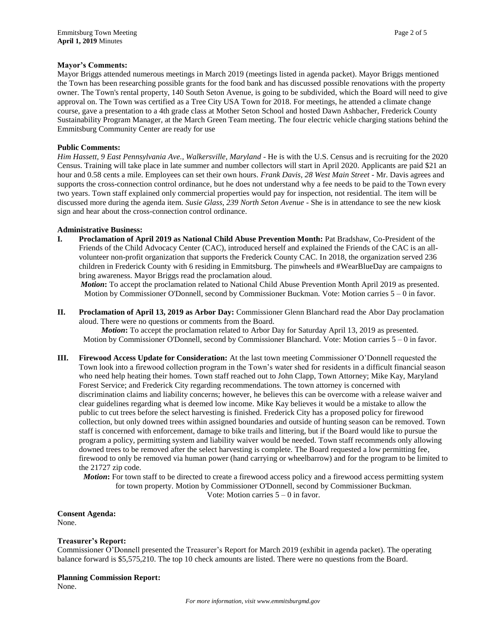#### **Mayor's Comments:**

Mayor Briggs attended numerous meetings in March 2019 (meetings listed in agenda packet). Mayor Briggs mentioned the Town has been researching possible grants for the food bank and has discussed possible renovations with the property owner. The Town's rental property, 140 South Seton Avenue, is going to be subdivided, which the Board will need to give approval on. The Town was certified as a Tree City USA Town for 2018. For meetings, he attended a climate change course, gave a presentation to a 4th grade class at Mother Seton School and hosted Dawn Ashbacher, Frederick County Sustainability Program Manager, at the March Green Team meeting. The four electric vehicle charging stations behind the Emmitsburg Community Center are ready for use

#### **Public Comments:**

*Him Hassett, 9 East Pennsylvania Ave., Walkersville, Maryland -* He is with the U.S. Census and is recruiting for the 2020 Census. Training will take place in late summer and number collectors will start in April 2020. Applicants are paid \$21 an hour and 0.58 cents a mile. Employees can set their own hours. *Frank Davis, 28 West Main Street* - Mr. Davis agrees and supports the cross-connection control ordinance, but he does not understand why a fee needs to be paid to the Town every two years. Town staff explained only commercial properties would pay for inspection, not residential. The item will be discussed more during the agenda item. *Susie Glass, 239 North Seton Avenue* - She is in attendance to see the new kiosk sign and hear about the cross-connection control ordinance.

#### **Administrative Business:**

**I. Proclamation of April 2019 as National Child Abuse Prevention Month:** Pat Bradshaw, Co-President of the Friends of the Child Advocacy Center (CAC), introduced herself and explained the Friends of the CAC is an allvolunteer non-profit organization that supports the Frederick County CAC. In 2018, the organization served 236 children in Frederick County with 6 residing in Emmitsburg. The pinwheels and #WearBlueDay are campaigns to bring awareness. Mayor Briggs read the proclamation aloud.

*Motion*: To accept the proclamation related to National Child Abuse Prevention Month April 2019 as presented. Motion by Commissioner O'Donnell, second by Commissioner Buckman. Vote: Motion carries 5 – 0 in favor.

**II. Proclamation of April 13, 2019 as Arbor Day:** Commissioner Glenn Blanchard read the Abor Day proclamation aloud. There were no questions or comments from the Board.

*Motion***:** To accept the proclamation related to Arbor Day for Saturday April 13, 2019 as presented. Motion by Commissioner O'Donnell, second by Commissioner Blanchard. Vote: Motion carries  $5 - 0$  in favor.

**III. Firewood Access Update for Consideration:** At the last town meeting Commissioner O'Donnell requested the Town look into a firewood collection program in the Town's water shed for residents in a difficult financial season who need help heating their homes. Town staff reached out to John Clapp, Town Attorney; Mike Kay, Maryland Forest Service; and Frederick City regarding recommendations. The town attorney is concerned with discrimination claims and liability concerns; however, he believes this can be overcome with a release waiver and clear guidelines regarding what is deemed low income. Mike Kay believes it would be a mistake to allow the public to cut trees before the select harvesting is finished. Frederick City has a proposed policy for firewood collection, but only downed trees within assigned boundaries and outside of hunting season can be removed. Town staff is concerned with enforcement, damage to bike trails and littering, but if the Board would like to pursue the program a policy, permitting system and liability waiver would be needed. Town staff recommends only allowing downed trees to be removed after the select harvesting is complete. The Board requested a low permitting fee, firewood to only be removed via human power (hand carrying or wheelbarrow) and for the program to be limited to the 21727 zip code.

*Motion***:** For town staff to be directed to create a firewood access policy and a firewood access permitting system for town property. Motion by Commissioner O'Donnell, second by Commissioner Buckman. Vote: Motion carries 5 – 0 in favor.

**Consent Agenda:** None.

#### **Treasurer's Report:**

Commissioner O'Donnell presented the Treasurer's Report for March 2019 (exhibit in agenda packet). The operating balance forward is \$5,575,210. The top 10 check amounts are listed. There were no questions from the Board.

#### **Planning Commission Report:**

None.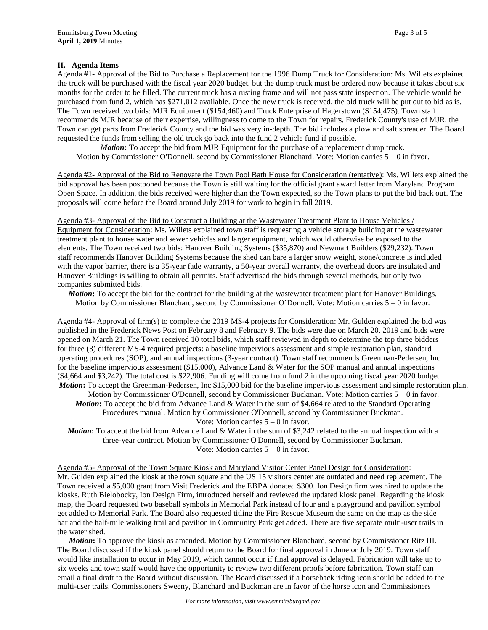# **II. Agenda Items**

Agenda #1- Approval of the Bid to Purchase a Replacement for the 1996 Dump Truck for Consideration: Ms. Willets explained the truck will be purchased with the fiscal year 2020 budget, but the dump truck must be ordered now because it takes about six months for the order to be filled. The current truck has a rusting frame and will not pass state inspection. The vehicle would be purchased from fund 2, which has \$271,012 available. Once the new truck is received, the old truck will be put out to bid as is. The Town received two bids: MJR Equipment (\$154,460) and Truck Enterprise of Hagerstown (\$154,475). Town staff recommends MJR because of their expertise, willingness to come to the Town for repairs, Frederick County's use of MJR, the Town can get parts from Frederick County and the bid was very in-depth. The bid includes a plow and salt spreader. The Board requested the funds from selling the old truck go back into the fund 2 vehicle fund if possible.

*Motion***:** To accept the bid from MJR Equipment for the purchase of a replacement dump truck. Motion by Commissioner O'Donnell, second by Commissioner Blanchard. Vote: Motion carries 5 – 0 in favor.

Agenda #2- Approval of the Bid to Renovate the Town Pool Bath House for Consideration (tentative): Ms. Willets explained the bid approval has been postponed because the Town is still waiting for the official grant award letter from Maryland Program Open Space. In addition, the bids received were higher than the Town expected, so the Town plans to put the bid back out. The proposals will come before the Board around July 2019 for work to begin in fall 2019.

Agenda #3- Approval of the Bid to Construct a Building at the Wastewater Treatment Plant to House Vehicles / Equipment for Consideration: Ms. Willets explained town staff is requesting a vehicle storage building at the wastewater treatment plant to house water and sewer vehicles and larger equipment, which would otherwise be exposed to the elements. The Town received two bids: Hanover Building Systems (\$35,870) and Newmart Builders (\$29,232). Town staff recommends Hanover Building Systems because the shed can bare a larger snow weight, stone/concrete is included with the vapor barrier, there is a 35-year fade warranty, a 50-year overall warranty, the overhead doors are insulated and Hanover Buildings is willing to obtain all permits. Staff advertised the bids through several methods, but only two companies submitted bids.

*Motion***:** To accept the bid for the contract for the building at the wastewater treatment plant for Hanover Buildings. Motion by Commissioner Blanchard, second by Commissioner O'Donnell. Vote: Motion carries 5 – 0 in favor.

Agenda #4- Approval of firm(s) to complete the 2019 MS-4 projects for Consideration: Mr. Gulden explained the bid was published in the Frederick News Post on February 8 and February 9. The bids were due on March 20, 2019 and bids were opened on March 21. The Town received 10 total bids, which staff reviewed in depth to determine the top three bidders for three (3) different MS-4 required projects: a baseline impervious assessment and simple restoration plan, standard operating procedures (SOP), and annual inspections (3-year contract). Town staff recommends Greenman-Pedersen, Inc for the baseline impervious assessment (\$15,000), Advance Land & Water for the SOP manual and annual inspections (\$4,664 and \$3,242). The total cost is \$22,906. Funding will come from fund 2 in the upcoming fiscal year 2020 budget. *Motion***:** To accept the Greenman-Pedersen, Inc \$15,000 bid for the baseline impervious assessment and simple restoration plan. Motion by Commissioner O'Donnell, second by Commissioner Buckman. Vote: Motion carries  $5 - 0$  in favor. *Motion*: To accept the bid from Advance Land & Water in the sum of \$4,664 related to the Standard Operating Procedures manual. Motion by Commissioner O'Donnell, second by Commissioner Buckman. Vote: Motion carries  $5 - 0$  in favor.

*Motion*: To accept the bid from Advance Land & Water in the sum of \$3,242 related to the annual inspection with a three-year contract. Motion by Commissioner O'Donnell, second by Commissioner Buckman. Vote: Motion carries  $5 - 0$  in favor.

Agenda #5- Approval of the Town Square Kiosk and Maryland Visitor Center Panel Design for Consideration: Mr. Gulden explained the kiosk at the town square and the US 15 visitors center are outdated and need replacement. The Town received a \$5,000 grant from Visit Frederick and the EBPA donated \$300. Ion Design firm was hired to update the kiosks. Ruth Bielobocky, Ion Design Firm, introduced herself and reviewed the updated kiosk panel. Regarding the kiosk map, the Board requested two baseball symbols in Memorial Park instead of four and a playground and pavilion symbol get added to Memorial Park. The Board also requested titling the Fire Rescue Museum the same on the map as the side bar and the half-mile walking trail and pavilion in Community Park get added. There are five separate multi-user trails in the water shed.

*Motion***:** To approve the kiosk as amended. Motion by Commissioner Blanchard, second by Commissioner Ritz III. The Board discussed if the kiosk panel should return to the Board for final approval in June or July 2019. Town staff would like installation to occur in May 2019, which cannot occur if final approval is delayed. Fabrication will take up to six weeks and town staff would have the opportunity to review two different proofs before fabrication. Town staff can email a final draft to the Board without discussion. The Board discussed if a horseback riding icon should be added to the multi-user trails. Commissioners Sweeny, Blanchard and Buckman are in favor of the horse icon and Commissioners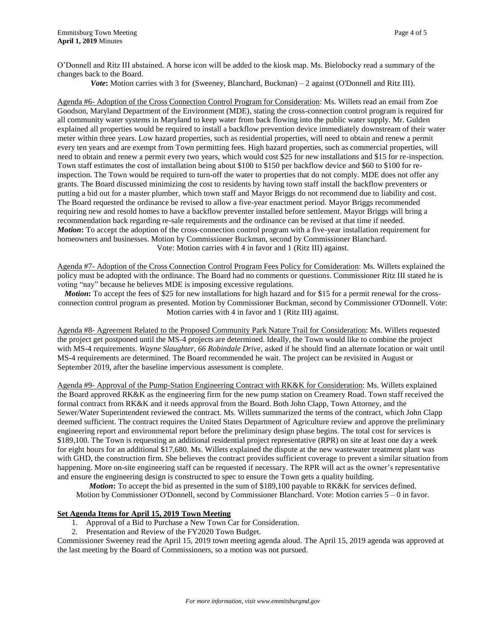O'Donnell and Ritz III abstained. A horse icon will be added to the kiosk map. Ms. Bielobocky read a summary of the changes back to the Board.

*Vote***:** Motion carries with 3 for (Sweeney, Blanchard, Buckman) – 2 against (O'Donnell and Ritz III).

Agenda #6- Adoption of the Cross Connection Control Program for Consideration: Ms. Willets read an email from Zoe Goodson, Maryland Department of the Environment (MDE), stating the cross-connection control program is required for all community water systems in Maryland to keep water from back flowing into the public water supply. Mr. Gulden explained all properties would be required to install a backflow prevention device immediately downstream of their water meter within three years. Low hazard properties, such as residential properties, will need to obtain and renew a permit every ten years and are exempt from Town permitting fees. High hazard properties, such as commercial properties, will need to obtain and renew a permit every two years, which would cost \$25 for new installations and \$15 for re-inspection. Town staff estimates the cost of installation being about \$100 to \$150 per backflow device and \$60 to \$100 for reinspection. The Town would be required to turn-off the water to properties that do not comply. MDE does not offer any grants. The Board discussed minimizing the cost to residents by having town staff install the backflow preventers or putting a bid out for a master plumber, which town staff and Mayor Briggs do not recommend due to liability and cost. The Board requested the ordinance be revised to allow a five-year enactment period. Mayor Briggs recommended requiring new and resold homes to have a backflow preventer installed before settlement. Mayor Briggs will bring a recommendation back regarding re-sale requirements and the ordinance can be revised at that time if needed. *Motion***:** To accept the adoption of the cross-connection control program with a five-year installation requirement for homeowners and businesses. Motion by Commissioner Buckman, second by Commissioner Blanchard. Vote: Motion carries with 4 in favor and 1 (Ritz III) against.

Agenda #7- Adoption of the Cross Connection Control Program Fees Policy for Consideration: Ms. Willets explained the policy must be adopted with the ordinance. The Board had no comments or questions. Commissioner Ritz III stated he is voting "nay" because he believes MDE is imposing excessive regulations.

*Motion*: To accept the fees of \$25 for new installations for high hazard and for \$15 for a permit renewal for the crossconnection control program as presented. Motion by Commissioner Buckman, second by Commissioner O'Donnell. Vote: Motion carries with 4 in favor and 1 (Ritz III) against.

Agenda #8- Agreement Related to the Proposed Community Park Nature Trail for Consideration: Ms. Willets requested the project get postponed until the MS-4 projects are determined. Ideally, the Town would like to combine the project with MS-4 requirements. *Wayne Slaughter, 66 Robindale Drive*, asked if he should find an alternate location or wait until MS-4 requirements are determined. The Board recommended he wait. The project can be revisited in August or September 2019, after the baseline impervious assessment is complete.

Agenda #9- Approval of the Pump-Station Engineering Contract with RK&K for Consideration: Ms. Willets explained the Board approved RK&K as the engineering firm for the new pump station on Creamery Road. Town staff received the formal contract from RK&K and it needs approval from the Board. Both John Clapp, Town Attorney, and the Sewer/Water Superintendent reviewed the contract. Ms. Willets summarized the terms of the contract, which John Clapp deemed sufficient. The contract requires the United States Department of Agriculture review and approve the preliminary engineering report and environmental report before the preliminary design phase begins. The total cost for services is \$189,100. The Town is requesting an additional residential project representative (RPR) on site at least one day a week for eight hours for an additional \$17,680. Ms. Willets explained the dispute at the new wastewater treatment plant was with GHD, the construction firm. She believes the contract provides sufficient coverage to prevent a similar situation from happening. More on-site engineering staff can be requested if necessary. The RPR will act as the owner's representative and ensure the engineering design is constructed to spec to ensure the Town gets a quality building.

*Motion***:** To accept the bid as presented in the sum of \$189,100 payable to RK&K for services defined. Motion by Commissioner O'Donnell, second by Commissioner Blanchard. Vote: Motion carries  $5 - 0$  in favor.

# **Set Agenda Items for April 15, 2019 Town Meeting**

- 1. Approval of a Bid to Purchase a New Town Car for Consideration.
- 2. Presentation and Review of the FY2020 Town Budget.

Commissioner Sweeney read the April 15, 2019 town meeting agenda aloud. The April 15, 2019 agenda was approved at the last meeting by the Board of Commissioners, so a motion was not pursued.